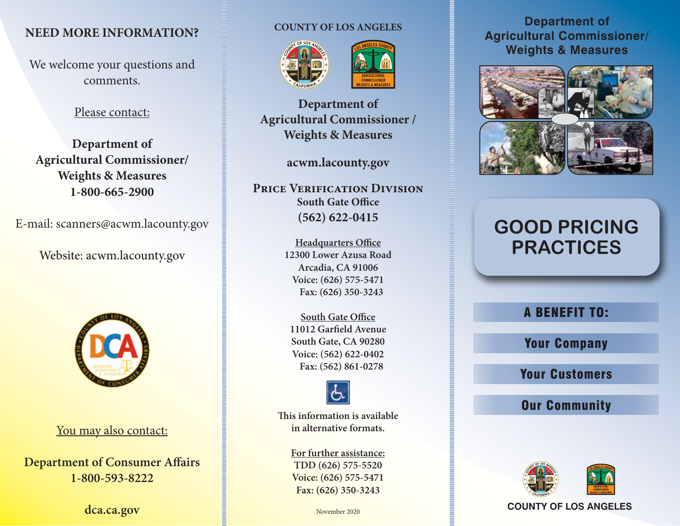### **NEED MORE INFORMATION?**

We welcome your questions and comments.

#### Please contact:

**Department of Agricultural Commissioner/ Weights & Measures 1-800-665-2900**

E-mail: scanners@acwm.lacounty.gov

Website: acwm.lacounty.gov



You may also contact:

**Department of Consumer Affairs 1-800-593-8222**

**dca.ca.gov**

#### **COUNTY OF LOS ANGELES**





**Department of Agricultural Commissioner / Weights & Measures**

#### **acwm.lacounty.gov**

**PRICE VERIFICATION DIVISION South Gate Office (562) 622-0415**

> **Headquarters Office 12300 Lower Azusa Road Arcadia, CA 91006 Voice: (626) 575-5471 Fax: (626) 350-3243**

**South Gate Office 11012 Garfield Avenue South Gate, CA 90280 Voice: (562) 622-0402 Fax: (562) 861-0278**



**This information is available in alternative formats.**

> **For further assistance: TDD (626) 575-5520 Voice: (626) 575-5471 Fax: (626) 350-3243**

#### **Department of Agricultural Commissioner/ Weights & Measures**



# **GOOD PRICING PRACTICES**

## A BENEFIT TO:

Your Company

Your Customers

# Our Community



November 2020 **COUNTY OF LOS ANGELES**